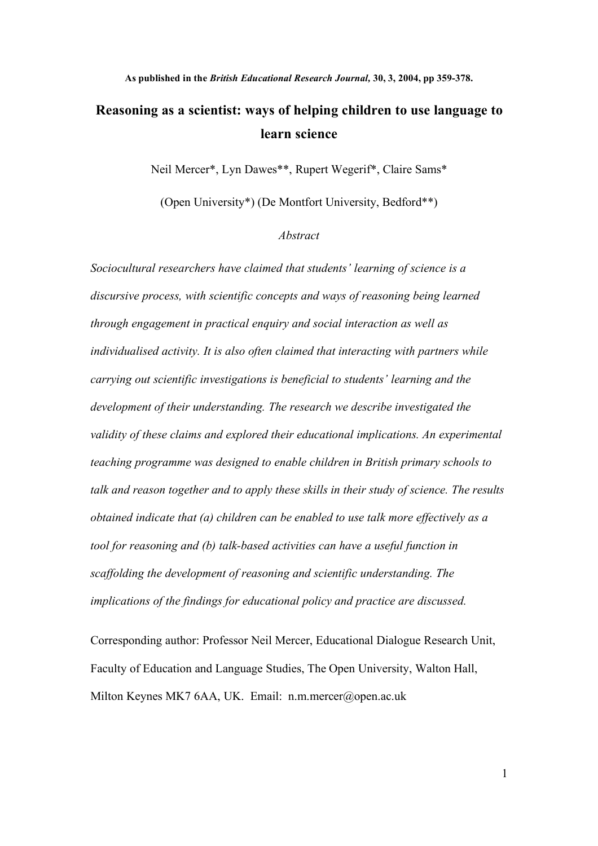#### **As published in the** *British Educational Research Journal,* **30, 3, 2004, pp 359-378.**

# **Reasoning as a scientist: ways of helping children to use language to learn science**

Neil Mercer\*, Lyn Dawes\*\*, Rupert Wegerif\*, Claire Sams\*

(Open University\*) (De Montfort University, Bedford\*\*)

#### *Abstract*

*Sociocultural researchers have claimed that students' learning of science is a discursive process, with scientific concepts and ways of reasoning being learned through engagement in practical enquiry and social interaction as well as individualised activity. It is also often claimed that interacting with partners while carrying out scientific investigations is beneficial to students' learning and the development of their understanding. The research we describe investigated the validity of these claims and explored their educational implications. An experimental teaching programme was designed to enable children in British primary schools to talk and reason together and to apply these skills in their study of science. The results obtained indicate that (a) children can be enabled to use talk more effectively as a tool for reasoning and (b) talk-based activities can have a useful function in scaffolding the development of reasoning and scientific understanding. The implications of the findings for educational policy and practice are discussed.*

Corresponding author: Professor Neil Mercer, Educational Dialogue Research Unit, Faculty of Education and Language Studies, The Open University, Walton Hall, Milton Keynes MK7 6AA, UK. Email: n.m.mercer@open.ac.uk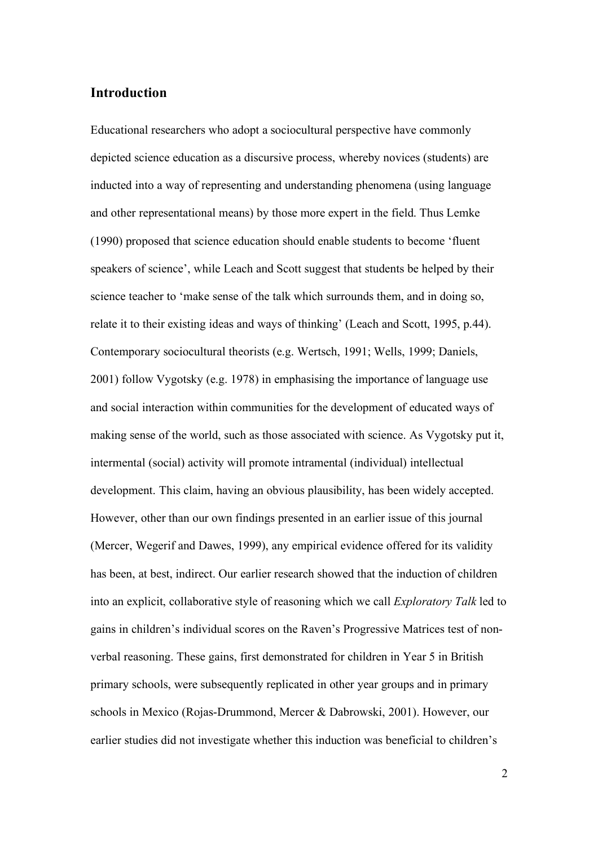## **Introduction**

Educational researchers who adopt a sociocultural perspective have commonly depicted science education as a discursive process, whereby novices (students) are inducted into a way of representing and understanding phenomena (using language and other representational means) by those more expert in the field. Thus Lemke (1990) proposed that science education should enable students to become 'fluent speakers of science', while Leach and Scott suggest that students be helped by their science teacher to 'make sense of the talk which surrounds them, and in doing so, relate it to their existing ideas and ways of thinking' (Leach and Scott, 1995, p.44). Contemporary sociocultural theorists (e.g. Wertsch, 1991; Wells, 1999; Daniels, 2001) follow Vygotsky (e.g. 1978) in emphasising the importance of language use and social interaction within communities for the development of educated ways of making sense of the world, such as those associated with science. As Vygotsky put it, intermental (social) activity will promote intramental (individual) intellectual development. This claim, having an obvious plausibility, has been widely accepted. However, other than our own findings presented in an earlier issue of this journal (Mercer, Wegerif and Dawes, 1999), any empirical evidence offered for its validity has been, at best, indirect. Our earlier research showed that the induction of children into an explicit, collaborative style of reasoning which we call *Exploratory Talk* led to gains in children's individual scores on the Raven's Progressive Matrices test of nonverbal reasoning. These gains, first demonstrated for children in Year 5 in British primary schools, were subsequently replicated in other year groups and in primary schools in Mexico (Rojas-Drummond, Mercer & Dabrowski, 2001). However, our earlier studies did not investigate whether this induction was beneficial to children's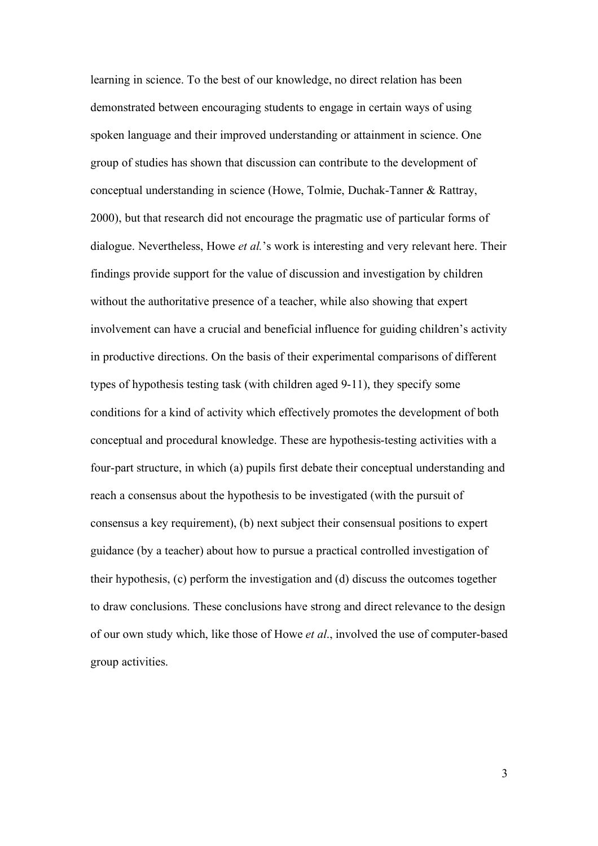learning in science. To the best of our knowledge, no direct relation has been demonstrated between encouraging students to engage in certain ways of using spoken language and their improved understanding or attainment in science. One group of studies has shown that discussion can contribute to the development of conceptual understanding in science (Howe, Tolmie, Duchak-Tanner & Rattray, 2000), but that research did not encourage the pragmatic use of particular forms of dialogue. Nevertheless, Howe *et al.*'s work is interesting and very relevant here. Their findings provide support for the value of discussion and investigation by children without the authoritative presence of a teacher, while also showing that expert involvement can have a crucial and beneficial influence for guiding children's activity in productive directions. On the basis of their experimental comparisons of different types of hypothesis testing task (with children aged 9-11), they specify some conditions for a kind of activity which effectively promotes the development of both conceptual and procedural knowledge. These are hypothesis-testing activities with a four-part structure, in which (a) pupils first debate their conceptual understanding and reach a consensus about the hypothesis to be investigated (with the pursuit of consensus a key requirement), (b) next subject their consensual positions to expert guidance (by a teacher) about how to pursue a practical controlled investigation of their hypothesis, (c) perform the investigation and (d) discuss the outcomes together to draw conclusions. These conclusions have strong and direct relevance to the design of our own study which, like those of Howe *et al*., involved the use of computer-based group activities.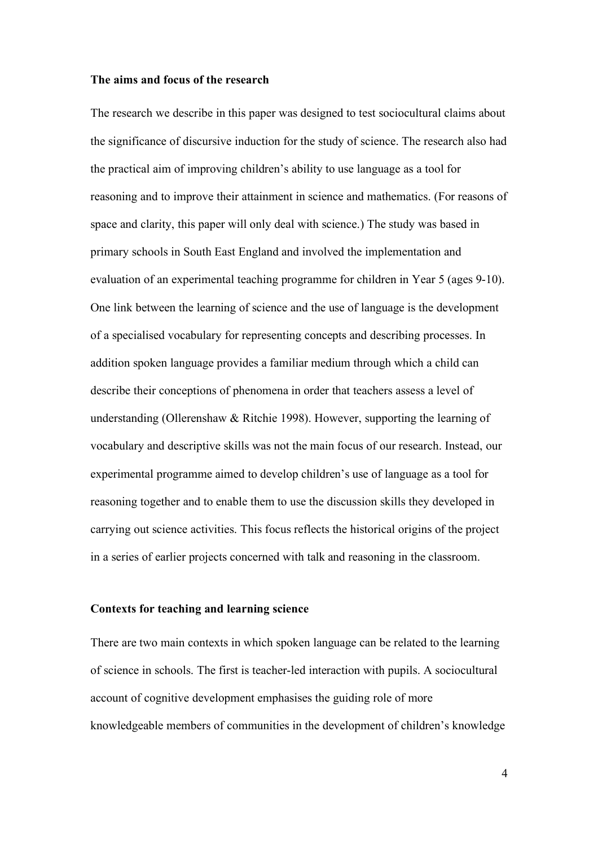#### **The aims and focus of the research**

The research we describe in this paper was designed to test sociocultural claims about the significance of discursive induction for the study of science. The research also had the practical aim of improving children's ability to use language as a tool for reasoning and to improve their attainment in science and mathematics. (For reasons of space and clarity, this paper will only deal with science.) The study was based in primary schools in South East England and involved the implementation and evaluation of an experimental teaching programme for children in Year 5 (ages 9-10). One link between the learning of science and the use of language is the development of a specialised vocabulary for representing concepts and describing processes. In addition spoken language provides a familiar medium through which a child can describe their conceptions of phenomena in order that teachers assess a level of understanding (Ollerenshaw & Ritchie 1998). However, supporting the learning of vocabulary and descriptive skills was not the main focus of our research. Instead, our experimental programme aimed to develop children's use of language as a tool for reasoning together and to enable them to use the discussion skills they developed in carrying out science activities. This focus reflects the historical origins of the project in a series of earlier projects concerned with talk and reasoning in the classroom.

#### **Contexts for teaching and learning science**

There are two main contexts in which spoken language can be related to the learning of science in schools. The first is teacher-led interaction with pupils. A sociocultural account of cognitive development emphasises the guiding role of more knowledgeable members of communities in the development of children's knowledge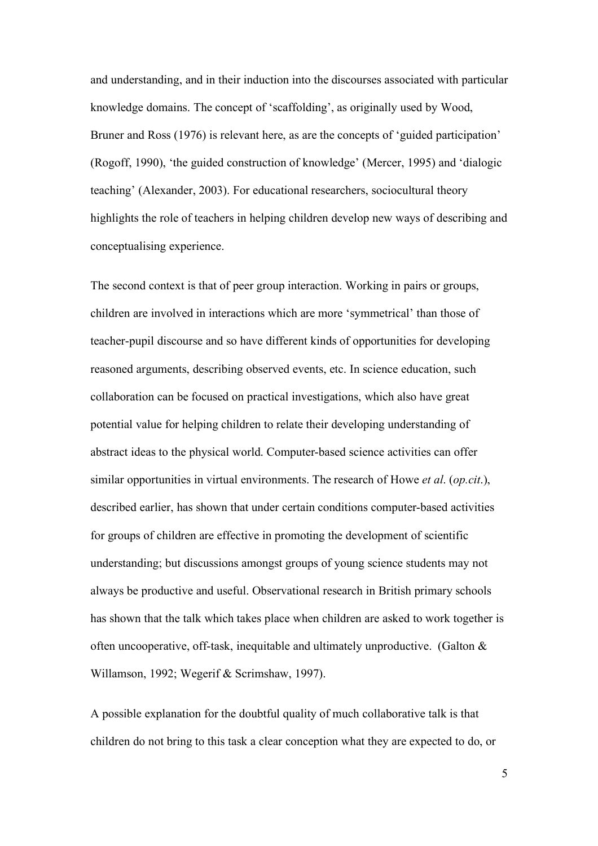and understanding, and in their induction into the discourses associated with particular knowledge domains. The concept of 'scaffolding', as originally used by Wood, Bruner and Ross (1976) is relevant here, as are the concepts of 'guided participation' (Rogoff, 1990), 'the guided construction of knowledge' (Mercer, 1995) and 'dialogic teaching' (Alexander, 2003). For educational researchers, sociocultural theory highlights the role of teachers in helping children develop new ways of describing and conceptualising experience.

The second context is that of peer group interaction. Working in pairs or groups, children are involved in interactions which are more 'symmetrical' than those of teacher-pupil discourse and so have different kinds of opportunities for developing reasoned arguments, describing observed events, etc. In science education, such collaboration can be focused on practical investigations, which also have great potential value for helping children to relate their developing understanding of abstract ideas to the physical world. Computer-based science activities can offer similar opportunities in virtual environments. The research of Howe *et al*. (*op.cit*.), described earlier, has shown that under certain conditions computer-based activities for groups of children are effective in promoting the development of scientific understanding; but discussions amongst groups of young science students may not always be productive and useful. Observational research in British primary schools has shown that the talk which takes place when children are asked to work together is often uncooperative, off-task, inequitable and ultimately unproductive. (Galton  $\&$ Willamson, 1992; Wegerif & Scrimshaw, 1997).

A possible explanation for the doubtful quality of much collaborative talk is that children do not bring to this task a clear conception what they are expected to do, or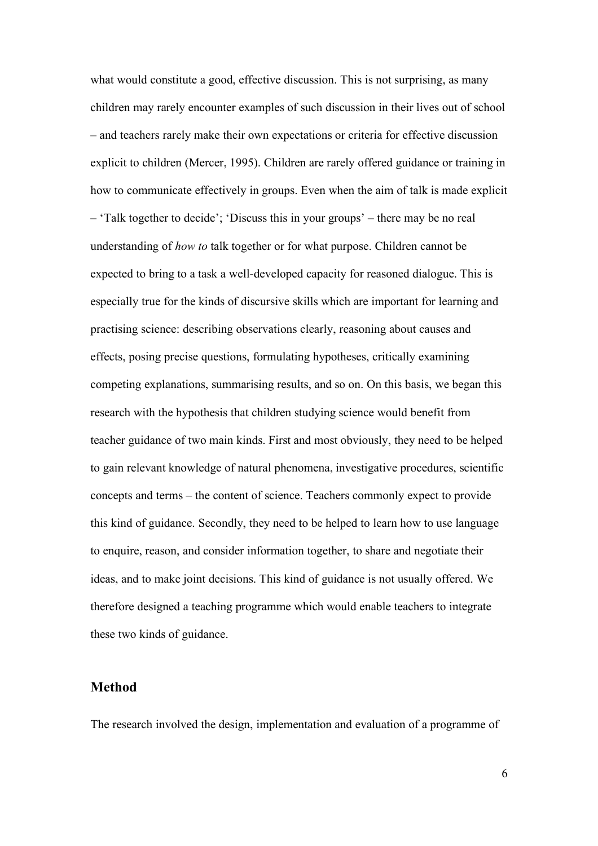what would constitute a good, effective discussion. This is not surprising, as many children may rarely encounter examples of such discussion in their lives out of school – and teachers rarely make their own expectations or criteria for effective discussion explicit to children (Mercer, 1995). Children are rarely offered guidance or training in how to communicate effectively in groups. Even when the aim of talk is made explicit – 'Talk together to decide'; 'Discuss this in your groups' – there may be no real understanding of *how to* talk together or for what purpose. Children cannot be expected to bring to a task a well-developed capacity for reasoned dialogue. This is especially true for the kinds of discursive skills which are important for learning and practising science: describing observations clearly, reasoning about causes and effects, posing precise questions, formulating hypotheses, critically examining competing explanations, summarising results, and so on. On this basis, we began this research with the hypothesis that children studying science would benefit from teacher guidance of two main kinds. First and most obviously, they need to be helped to gain relevant knowledge of natural phenomena, investigative procedures, scientific concepts and terms – the content of science. Teachers commonly expect to provide this kind of guidance. Secondly, they need to be helped to learn how to use language to enquire, reason, and consider information together, to share and negotiate their ideas, and to make joint decisions. This kind of guidance is not usually offered. We therefore designed a teaching programme which would enable teachers to integrate these two kinds of guidance.

## **Method**

The research involved the design, implementation and evaluation of a programme of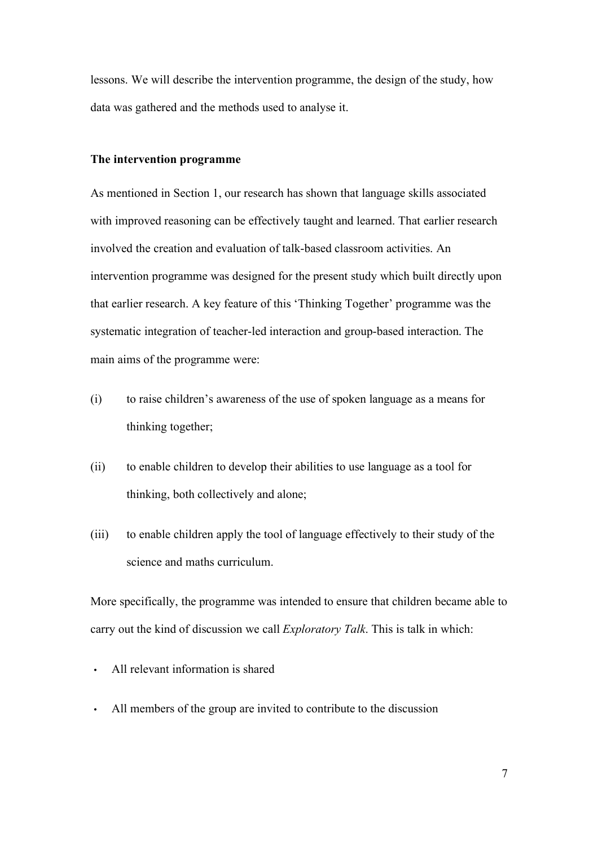lessons. We will describe the intervention programme, the design of the study, how data was gathered and the methods used to analyse it.

### **The intervention programme**

As mentioned in Section 1, our research has shown that language skills associated with improved reasoning can be effectively taught and learned. That earlier research involved the creation and evaluation of talk-based classroom activities. An intervention programme was designed for the present study which built directly upon that earlier research. A key feature of this 'Thinking Together' programme was the systematic integration of teacher-led interaction and group-based interaction. The main aims of the programme were:

- (i) to raise children's awareness of the use of spoken language as a means for thinking together;
- (ii) to enable children to develop their abilities to use language as a tool for thinking, both collectively and alone;
- (iii) to enable children apply the tool of language effectively to their study of the science and maths curriculum.

More specifically, the programme was intended to ensure that children became able to carry out the kind of discussion we call *Exploratory Talk*. This is talk in which:

- All relevant information is shared
- All members of the group are invited to contribute to the discussion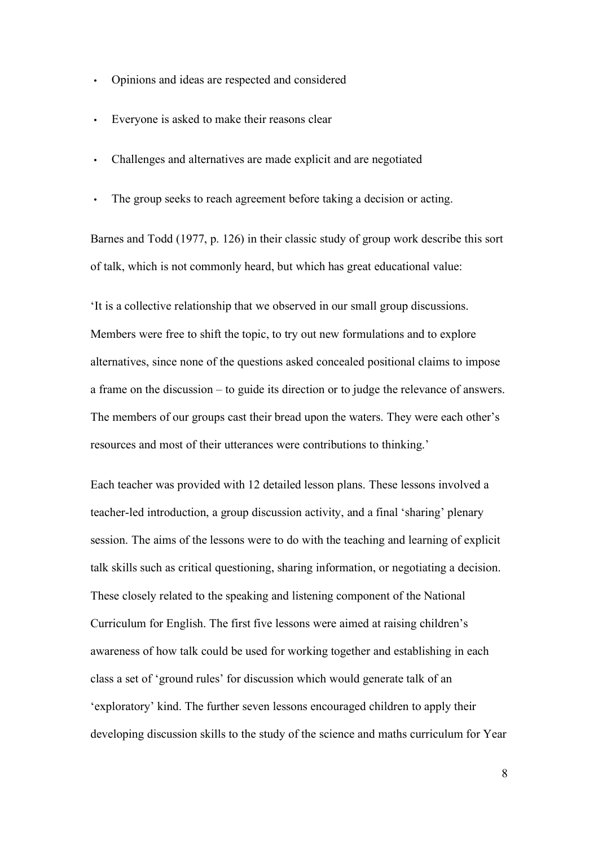- Opinions and ideas are respected and considered
- Everyone is asked to make their reasons clear
- Challenges and alternatives are made explicit and are negotiated
- The group seeks to reach agreement before taking a decision or acting.

Barnes and Todd (1977, p. 126) in their classic study of group work describe this sort of talk, which is not commonly heard, but which has great educational value:

'It is a collective relationship that we observed in our small group discussions. Members were free to shift the topic, to try out new formulations and to explore alternatives, since none of the questions asked concealed positional claims to impose a frame on the discussion – to guide its direction or to judge the relevance of answers. The members of our groups cast their bread upon the waters. They were each other's resources and most of their utterances were contributions to thinking.'

Each teacher was provided with 12 detailed lesson plans. These lessons involved a teacher-led introduction, a group discussion activity, and a final 'sharing' plenary session. The aims of the lessons were to do with the teaching and learning of explicit talk skills such as critical questioning, sharing information, or negotiating a decision. These closely related to the speaking and listening component of the National Curriculum for English. The first five lessons were aimed at raising children's awareness of how talk could be used for working together and establishing in each class a set of 'ground rules' for discussion which would generate talk of an 'exploratory' kind. The further seven lessons encouraged children to apply their developing discussion skills to the study of the science and maths curriculum for Year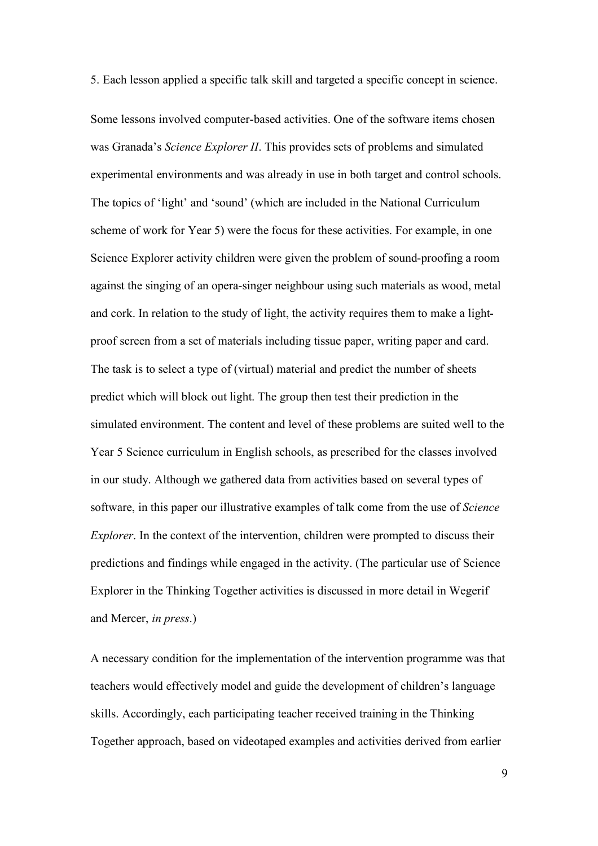5. Each lesson applied a specific talk skill and targeted a specific concept in science.

Some lessons involved computer-based activities. One of the software items chosen was Granada's *Science Explorer II*. This provides sets of problems and simulated experimental environments and was already in use in both target and control schools. The topics of 'light' and 'sound' (which are included in the National Curriculum scheme of work for Year 5) were the focus for these activities. For example, in one Science Explorer activity children were given the problem of sound-proofing a room against the singing of an opera-singer neighbour using such materials as wood, metal and cork. In relation to the study of light, the activity requires them to make a lightproof screen from a set of materials including tissue paper, writing paper and card. The task is to select a type of (virtual) material and predict the number of sheets predict which will block out light. The group then test their prediction in the simulated environment. The content and level of these problems are suited well to the Year 5 Science curriculum in English schools, as prescribed for the classes involved in our study. Although we gathered data from activities based on several types of software, in this paper our illustrative examples of talk come from the use of *Science Explorer*. In the context of the intervention, children were prompted to discuss their predictions and findings while engaged in the activity. (The particular use of Science Explorer in the Thinking Together activities is discussed in more detail in Wegerif and Mercer, *in press*.)

A necessary condition for the implementation of the intervention programme was that teachers would effectively model and guide the development of children's language skills. Accordingly, each participating teacher received training in the Thinking Together approach, based on videotaped examples and activities derived from earlier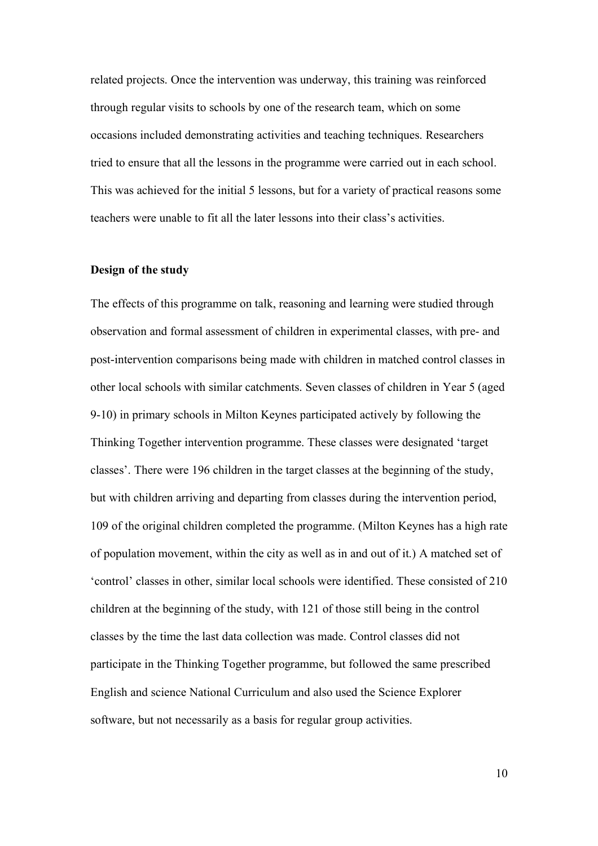related projects. Once the intervention was underway, this training was reinforced through regular visits to schools by one of the research team, which on some occasions included demonstrating activities and teaching techniques. Researchers tried to ensure that all the lessons in the programme were carried out in each school. This was achieved for the initial 5 lessons, but for a variety of practical reasons some teachers were unable to fit all the later lessons into their class's activities.

### **Design of the study**

The effects of this programme on talk, reasoning and learning were studied through observation and formal assessment of children in experimental classes, with pre- and post-intervention comparisons being made with children in matched control classes in other local schools with similar catchments. Seven classes of children in Year 5 (aged 9-10) in primary schools in Milton Keynes participated actively by following the Thinking Together intervention programme. These classes were designated 'target classes'. There were 196 children in the target classes at the beginning of the study, but with children arriving and departing from classes during the intervention period, 109 of the original children completed the programme. (Milton Keynes has a high rate of population movement, within the city as well as in and out of it.) A matched set of 'control' classes in other, similar local schools were identified. These consisted of 210 children at the beginning of the study, with 121 of those still being in the control classes by the time the last data collection was made. Control classes did not participate in the Thinking Together programme, but followed the same prescribed English and science National Curriculum and also used the Science Explorer software, but not necessarily as a basis for regular group activities.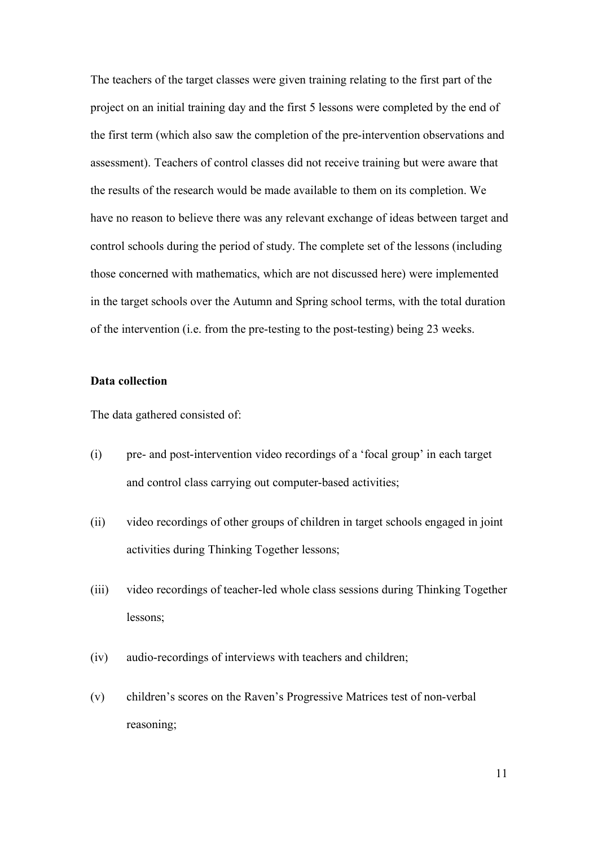The teachers of the target classes were given training relating to the first part of the project on an initial training day and the first 5 lessons were completed by the end of the first term (which also saw the completion of the pre-intervention observations and assessment). Teachers of control classes did not receive training but were aware that the results of the research would be made available to them on its completion. We have no reason to believe there was any relevant exchange of ideas between target and control schools during the period of study. The complete set of the lessons (including those concerned with mathematics, which are not discussed here) were implemented in the target schools over the Autumn and Spring school terms, with the total duration of the intervention (i.e. from the pre-testing to the post-testing) being 23 weeks.

### **Data collection**

The data gathered consisted of:

- (i) pre- and post-intervention video recordings of a 'focal group' in each target and control class carrying out computer-based activities;
- (ii) video recordings of other groups of children in target schools engaged in joint activities during Thinking Together lessons;
- (iii) video recordings of teacher-led whole class sessions during Thinking Together lessons;
- (iv) audio-recordings of interviews with teachers and children;
- (v) children's scores on the Raven's Progressive Matrices test of non-verbal reasoning;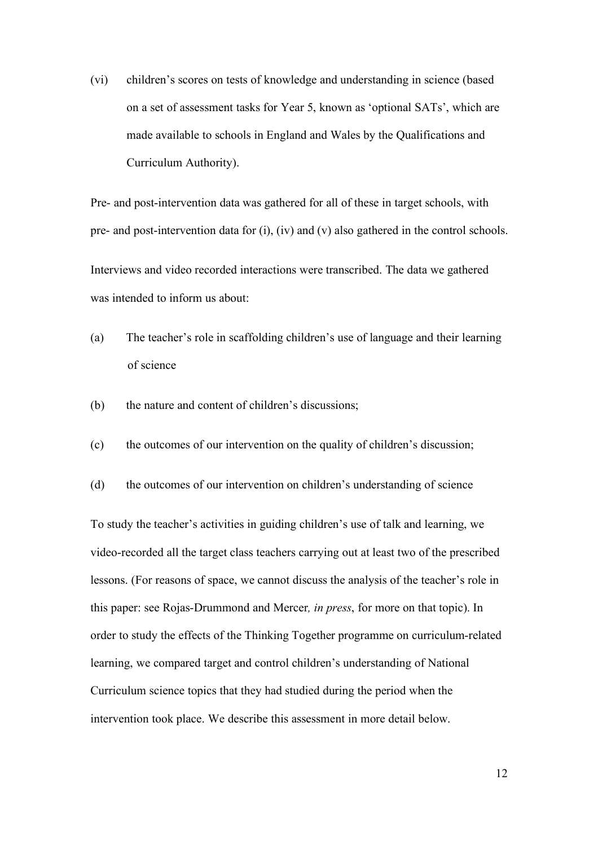(vi) children's scores on tests of knowledge and understanding in science (based on a set of assessment tasks for Year 5, known as 'optional SATs', which are made available to schools in England and Wales by the Qualifications and Curriculum Authority).

Pre- and post-intervention data was gathered for all of these in target schools, with pre- and post-intervention data for (i), (iv) and (v) also gathered in the control schools.

Interviews and video recorded interactions were transcribed. The data we gathered was intended to inform us about:

- (a) The teacher's role in scaffolding children's use of language and their learning of science
- (b) the nature and content of children's discussions;
- (c) the outcomes of our intervention on the quality of children's discussion;
- (d) the outcomes of our intervention on children's understanding of science

To study the teacher's activities in guiding children's use of talk and learning, we video-recorded all the target class teachers carrying out at least two of the prescribed lessons. (For reasons of space, we cannot discuss the analysis of the teacher's role in this paper: see Rojas-Drummond and Mercer*, in press*, for more on that topic). In order to study the effects of the Thinking Together programme on curriculum-related learning, we compared target and control children's understanding of National Curriculum science topics that they had studied during the period when the intervention took place. We describe this assessment in more detail below.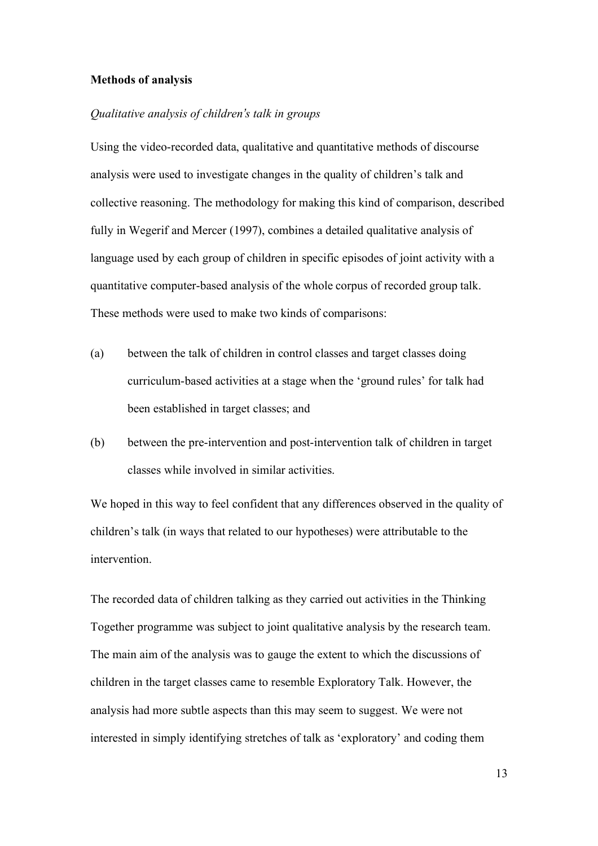#### **Methods of analysis**

#### *Qualitative analysis of children's talk in groups*

Using the video-recorded data, qualitative and quantitative methods of discourse analysis were used to investigate changes in the quality of children's talk and collective reasoning. The methodology for making this kind of comparison, described fully in Wegerif and Mercer (1997), combines a detailed qualitative analysis of language used by each group of children in specific episodes of joint activity with a quantitative computer-based analysis of the whole corpus of recorded group talk. These methods were used to make two kinds of comparisons:

- (a) between the talk of children in control classes and target classes doing curriculum-based activities at a stage when the 'ground rules' for talk had been established in target classes; and
- (b) between the pre-intervention and post-intervention talk of children in target classes while involved in similar activities.

We hoped in this way to feel confident that any differences observed in the quality of children's talk (in ways that related to our hypotheses) were attributable to the intervention.

The recorded data of children talking as they carried out activities in the Thinking Together programme was subject to joint qualitative analysis by the research team. The main aim of the analysis was to gauge the extent to which the discussions of children in the target classes came to resemble Exploratory Talk. However, the analysis had more subtle aspects than this may seem to suggest. We were not interested in simply identifying stretches of talk as 'exploratory' and coding them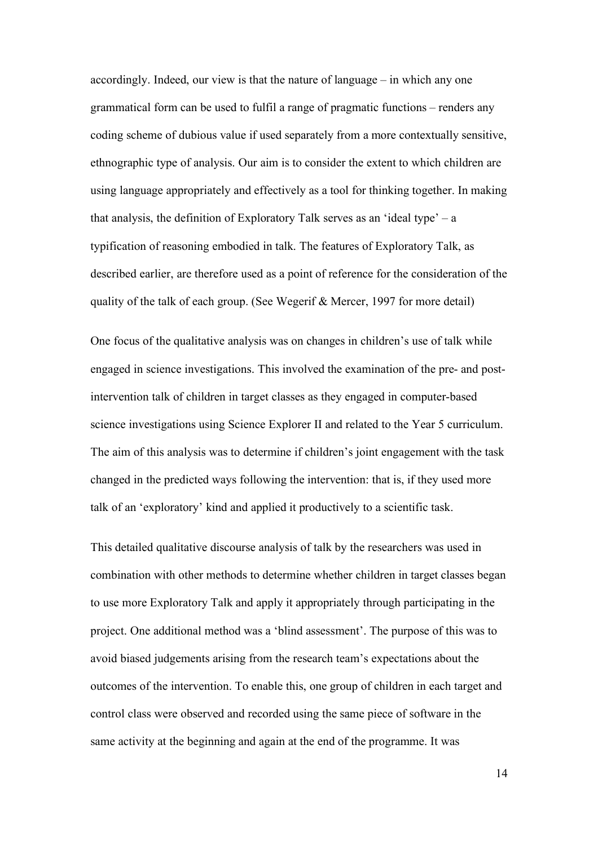accordingly. Indeed, our view is that the nature of language – in which any one grammatical form can be used to fulfil a range of pragmatic functions – renders any coding scheme of dubious value if used separately from a more contextually sensitive, ethnographic type of analysis. Our aim is to consider the extent to which children are using language appropriately and effectively as a tool for thinking together. In making that analysis, the definition of Exploratory Talk serves as an 'ideal type' – a typification of reasoning embodied in talk. The features of Exploratory Talk, as described earlier, are therefore used as a point of reference for the consideration of the quality of the talk of each group. (See Wegerif & Mercer, 1997 for more detail)

One focus of the qualitative analysis was on changes in children's use of talk while engaged in science investigations. This involved the examination of the pre- and postintervention talk of children in target classes as they engaged in computer-based science investigations using Science Explorer II and related to the Year 5 curriculum. The aim of this analysis was to determine if children's joint engagement with the task changed in the predicted ways following the intervention: that is, if they used more talk of an 'exploratory' kind and applied it productively to a scientific task.

This detailed qualitative discourse analysis of talk by the researchers was used in combination with other methods to determine whether children in target classes began to use more Exploratory Talk and apply it appropriately through participating in the project. One additional method was a 'blind assessment'. The purpose of this was to avoid biased judgements arising from the research team's expectations about the outcomes of the intervention. To enable this, one group of children in each target and control class were observed and recorded using the same piece of software in the same activity at the beginning and again at the end of the programme. It was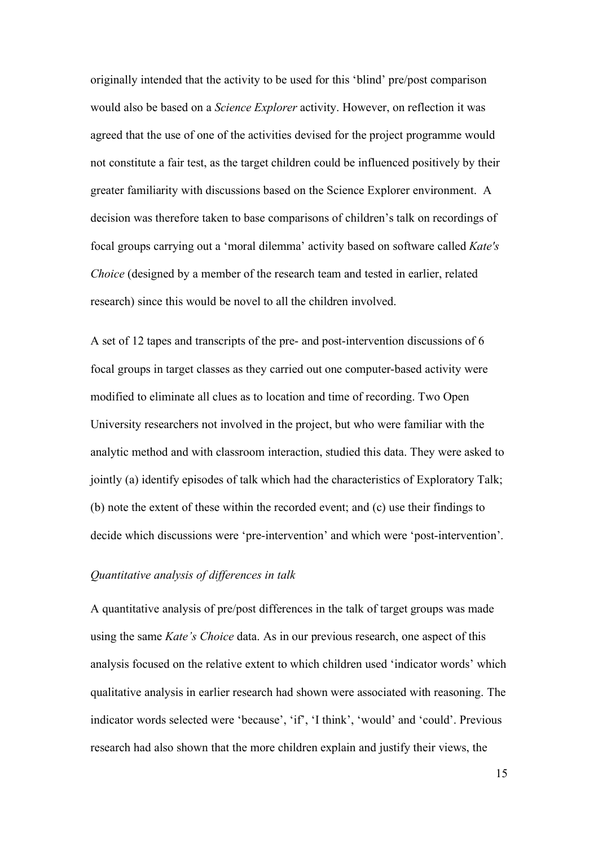originally intended that the activity to be used for this 'blind' pre/post comparison would also be based on a *Science Explorer* activity. However, on reflection it was agreed that the use of one of the activities devised for the project programme would not constitute a fair test, as the target children could be influenced positively by their greater familiarity with discussions based on the Science Explorer environment. A decision was therefore taken to base comparisons of children's talk on recordings of focal groups carrying out a 'moral dilemma' activity based on software called *Kate's Choice* (designed by a member of the research team and tested in earlier, related research) since this would be novel to all the children involved.

A set of 12 tapes and transcripts of the pre- and post-intervention discussions of 6 focal groups in target classes as they carried out one computer-based activity were modified to eliminate all clues as to location and time of recording. Two Open University researchers not involved in the project, but who were familiar with the analytic method and with classroom interaction, studied this data. They were asked to jointly (a) identify episodes of talk which had the characteristics of Exploratory Talk; (b) note the extent of these within the recorded event; and (c) use their findings to decide which discussions were 'pre-intervention' and which were 'post-intervention'.

## *Quantitative analysis of differences in talk*

A quantitative analysis of pre/post differences in the talk of target groups was made using the same *Kate's Choice* data. As in our previous research, one aspect of this analysis focused on the relative extent to which children used 'indicator words' which qualitative analysis in earlier research had shown were associated with reasoning. The indicator words selected were 'because', 'if', 'I think', 'would' and 'could'. Previous research had also shown that the more children explain and justify their views, the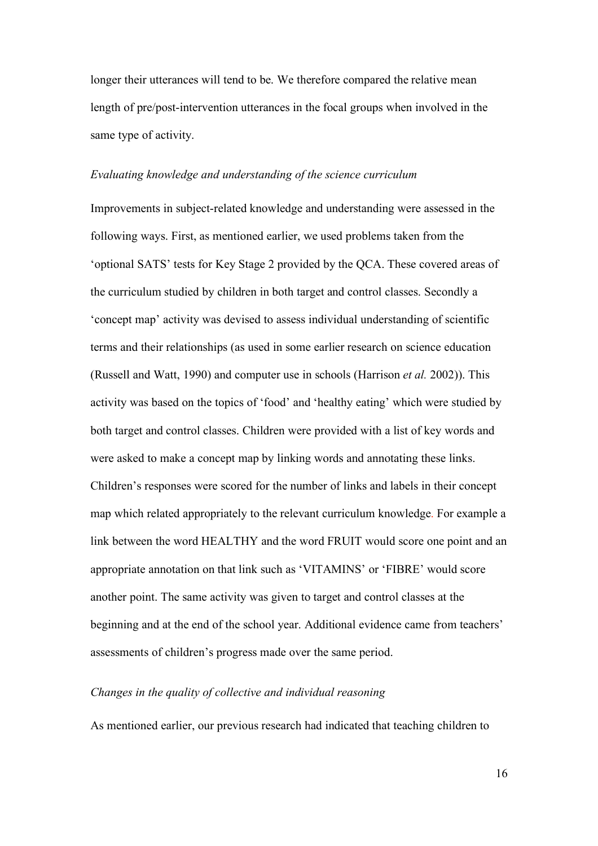longer their utterances will tend to be. We therefore compared the relative mean length of pre/post-intervention utterances in the focal groups when involved in the same type of activity.

#### *Evaluating knowledge and understanding of the science curriculum*

Improvements in subject-related knowledge and understanding were assessed in the following ways. First, as mentioned earlier, we used problems taken from the 'optional SATS' tests for Key Stage 2 provided by the QCA. These covered areas of the curriculum studied by children in both target and control classes. Secondly a 'concept map' activity was devised to assess individual understanding of scientific terms and their relationships (as used in some earlier research on science education (Russell and Watt, 1990) and computer use in schools (Harrison *et al.* 2002)). This activity was based on the topics of 'food' and 'healthy eating' which were studied by both target and control classes. Children were provided with a list of key words and were asked to make a concept map by linking words and annotating these links. Children's responses were scored for the number of links and labels in their concept map which related appropriately to the relevant curriculum knowledge. For example a link between the word HEALTHY and the word FRUIT would score one point and an appropriate annotation on that link such as 'VITAMINS' or 'FIBRE' would score another point. The same activity was given to target and control classes at the beginning and at the end of the school year. Additional evidence came from teachers' assessments of children's progress made over the same period.

### *Changes in the quality of collective and individual reasoning*

As mentioned earlier, our previous research had indicated that teaching children to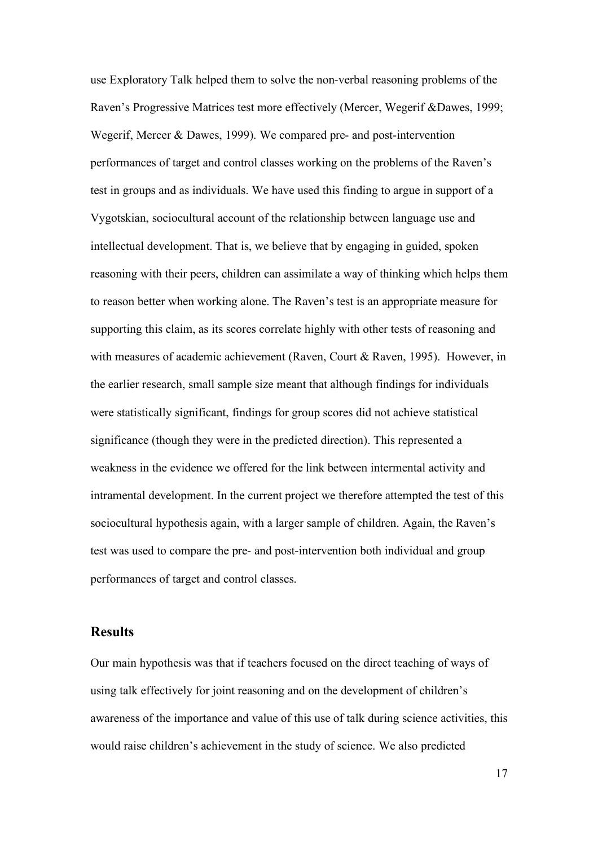use Exploratory Talk helped them to solve the non-verbal reasoning problems of the Raven's Progressive Matrices test more effectively (Mercer, Wegerif &Dawes, 1999; Wegerif, Mercer & Dawes, 1999). We compared pre- and post-intervention performances of target and control classes working on the problems of the Raven's test in groups and as individuals. We have used this finding to argue in support of a Vygotskian, sociocultural account of the relationship between language use and intellectual development. That is, we believe that by engaging in guided, spoken reasoning with their peers, children can assimilate a way of thinking which helps them to reason better when working alone. The Raven's test is an appropriate measure for supporting this claim, as its scores correlate highly with other tests of reasoning and with measures of academic achievement (Raven, Court & Raven, 1995). However, in the earlier research, small sample size meant that although findings for individuals were statistically significant, findings for group scores did not achieve statistical significance (though they were in the predicted direction). This represented a weakness in the evidence we offered for the link between intermental activity and intramental development. In the current project we therefore attempted the test of this sociocultural hypothesis again, with a larger sample of children. Again, the Raven's test was used to compare the pre- and post-intervention both individual and group performances of target and control classes.

## **Results**

Our main hypothesis was that if teachers focused on the direct teaching of ways of using talk effectively for joint reasoning and on the development of children's awareness of the importance and value of this use of talk during science activities, this would raise children's achievement in the study of science. We also predicted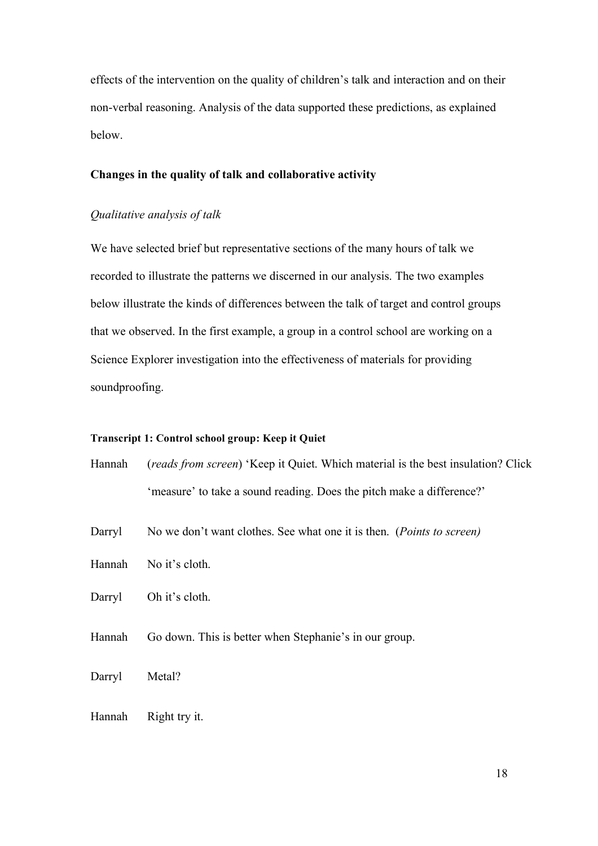effects of the intervention on the quality of children's talk and interaction and on their non-verbal reasoning. Analysis of the data supported these predictions, as explained below.

#### **Changes in the quality of talk and collaborative activity**

## *Qualitative analysis of talk*

We have selected brief but representative sections of the many hours of talk we recorded to illustrate the patterns we discerned in our analysis. The two examples below illustrate the kinds of differences between the talk of target and control groups that we observed. In the first example, a group in a control school are working on a Science Explorer investigation into the effectiveness of materials for providing soundproofing.

## **Transcript 1: Control school group: Keep it Quiet**

- Hannah (*reads from screen*) 'Keep it Quiet. Which material is the best insulation? Click 'measure' to take a sound reading. Does the pitch make a difference?'
- Darryl No we don't want clothes. See what one it is then. (*Points to screen*)
- Hannah No it's cloth.
- Darryl Oh it's cloth.
- Hannah Go down. This is better when Stephanie's in our group.
- Darryl Metal?
- Hannah Right try it.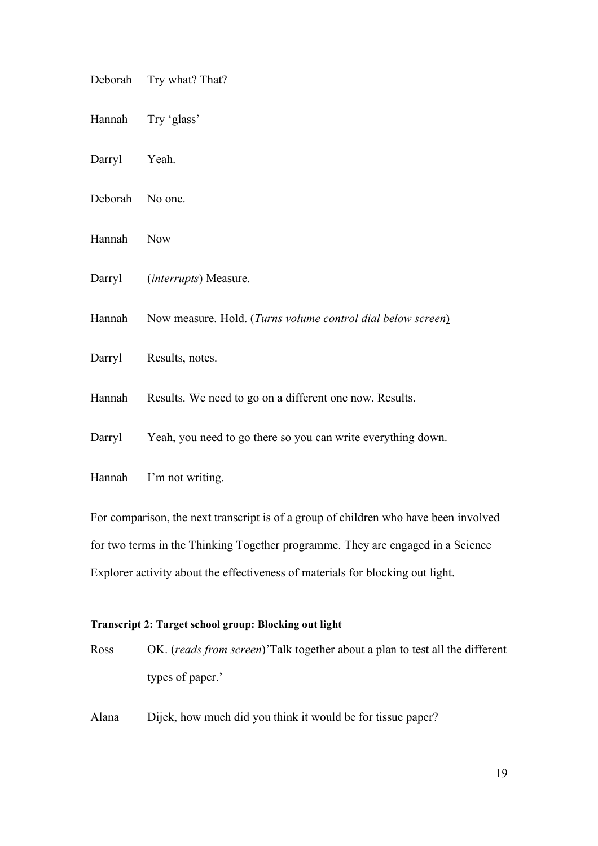| Deborah | Try what? That? |  |
|---------|-----------------|--|
|         |                 |  |

Hannah Try 'glass'

- Darryl Yeah.
- Deborah No one.
- Hannah Now
- Darryl (*interrupts*) Measure.

Hannah Now measure. Hold. (*Turns volume control dial below screen*)

- Darryl Results, notes.
- Hannah Results. We need to go on a different one now. Results.

Darryl Yeah, you need to go there so you can write everything down.

Hannah I'm not writing.

For comparison, the next transcript is of a group of children who have been involved for two terms in the Thinking Together programme. They are engaged in a Science Explorer activity about the effectiveness of materials for blocking out light.

## **Transcript 2: Target school group: Blocking out light**

Ross OK. (*reads from screen*)'Talk together about a plan to test all the different types of paper.'

Alana Dijek, how much did you think it would be for tissue paper?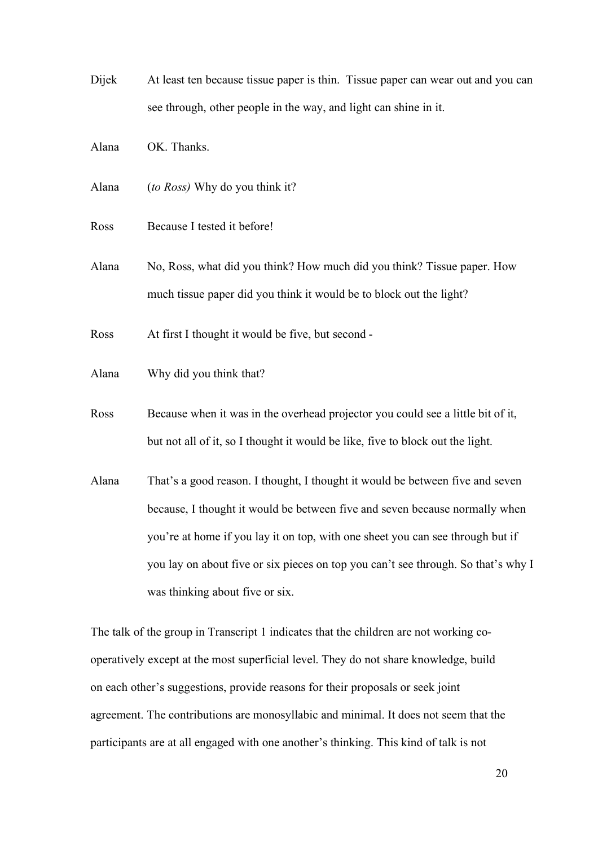| Dijek | At least ten because tissue paper is thin. Tissue paper can wear out and you can                                                               |
|-------|------------------------------------------------------------------------------------------------------------------------------------------------|
|       | see through, other people in the way, and light can shine in it.                                                                               |
| Alana | OK. Thanks.                                                                                                                                    |
| Alana | <i>(to Ross)</i> Why do you think it?                                                                                                          |
| Ross  | Because I tested it before!                                                                                                                    |
| Alana | No, Ross, what did you think? How much did you think? Tissue paper. How<br>much tissue paper did you think it would be to block out the light? |
| Ross  | At first I thought it would be five, but second -                                                                                              |
| Alana | Why did you think that?                                                                                                                        |

Ross Because when it was in the overhead projector you could see a little bit of it, but not all of it, so I thought it would be like, five to block out the light.

Alana That's a good reason. I thought, I thought it would be between five and seven because, I thought it would be between five and seven because normally when you're at home if you lay it on top, with one sheet you can see through but if you lay on about five or six pieces on top you can't see through. So that's why I was thinking about five or six.

The talk of the group in Transcript 1 indicates that the children are not working cooperatively except at the most superficial level. They do not share knowledge, build on each other's suggestions, provide reasons for their proposals or seek joint agreement. The contributions are monosyllabic and minimal. It does not seem that the participants are at all engaged with one another's thinking. This kind of talk is not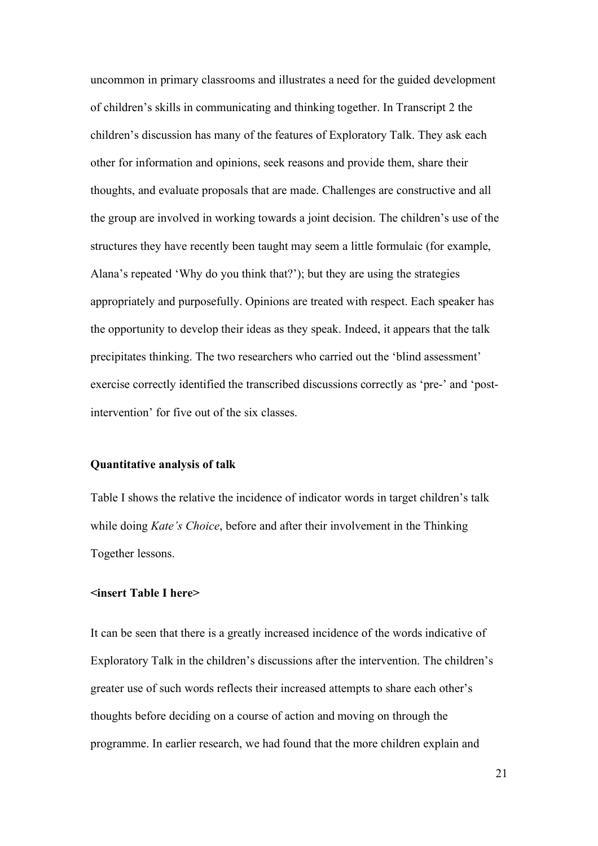uncommon in primary classrooms and illustrates a need for the guided development of children's skills in communicating and thinking together. In Transcript 2 the children's discussion has many of the features of Exploratory Talk. They ask each other for information and opinions, seek reasons and provide them, share their thoughts, and evaluate proposals that are made. Challenges are constructive and all the group are involved in working towards a joint decision. The children's use of the structures they have recently been taught may seem a little formulaic (for example, Alana's repeated 'Why do you think that?'); but they are using the strategies appropriately and purposefully. Opinions are treated with respect. Each speaker has the opportunity to develop their ideas as they speak. Indeed, it appears that the talk precipitates thinking. The two researchers who carried out the 'blind assessment' exercise correctly identified the transcribed discussions correctly as 'pre-' and 'postintervention' for five out of the six classes.

### **Quantitative analysis of talk**

Table I shows the relative the incidence of indicator words in target children's talk while doing *Kate's Choice*, before and after their involvement in the Thinking Together lessons.

## **<insert Table I here>**

It can be seen that there is a greatly increased incidence of the words indicative of Exploratory Talk in the children's discussions after the intervention. The children's greater use of such words reflects their increased attempts to share each other's thoughts before deciding on a course of action and moving on through the programme. In earlier research, we had found that the more children explain and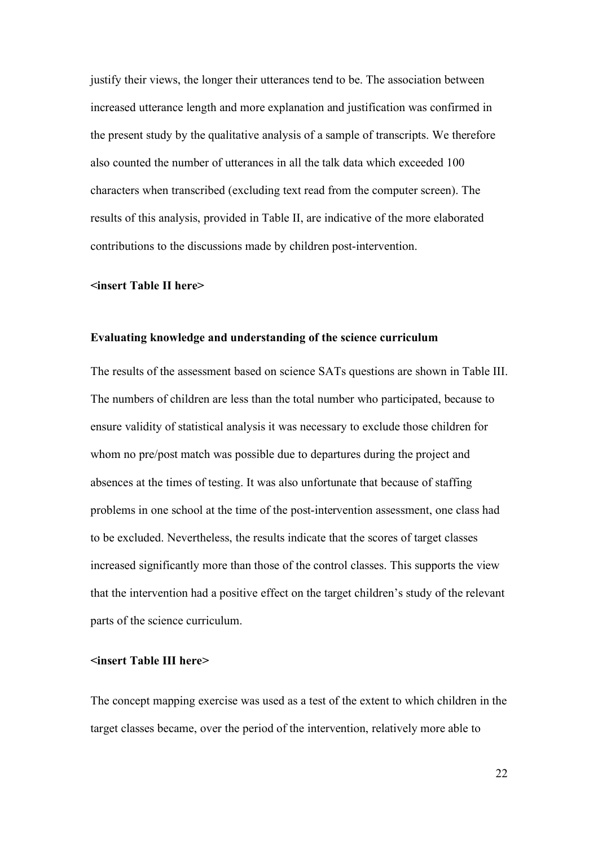justify their views, the longer their utterances tend to be. The association between increased utterance length and more explanation and justification was confirmed in the present study by the qualitative analysis of a sample of transcripts. We therefore also counted the number of utterances in all the talk data which exceeded 100 characters when transcribed (excluding text read from the computer screen). The results of this analysis, provided in Table II, are indicative of the more elaborated contributions to the discussions made by children post-intervention.

### **<insert Table II here>**

#### **Evaluating knowledge and understanding of the science curriculum**

The results of the assessment based on science SATs questions are shown in Table III. The numbers of children are less than the total number who participated, because to ensure validity of statistical analysis it was necessary to exclude those children for whom no pre/post match was possible due to departures during the project and absences at the times of testing. It was also unfortunate that because of staffing problems in one school at the time of the post-intervention assessment, one class had to be excluded. Nevertheless, the results indicate that the scores of target classes increased significantly more than those of the control classes. This supports the view that the intervention had a positive effect on the target children's study of the relevant parts of the science curriculum.

### **<insert Table III here>**

The concept mapping exercise was used as a test of the extent to which children in the target classes became, over the period of the intervention, relatively more able to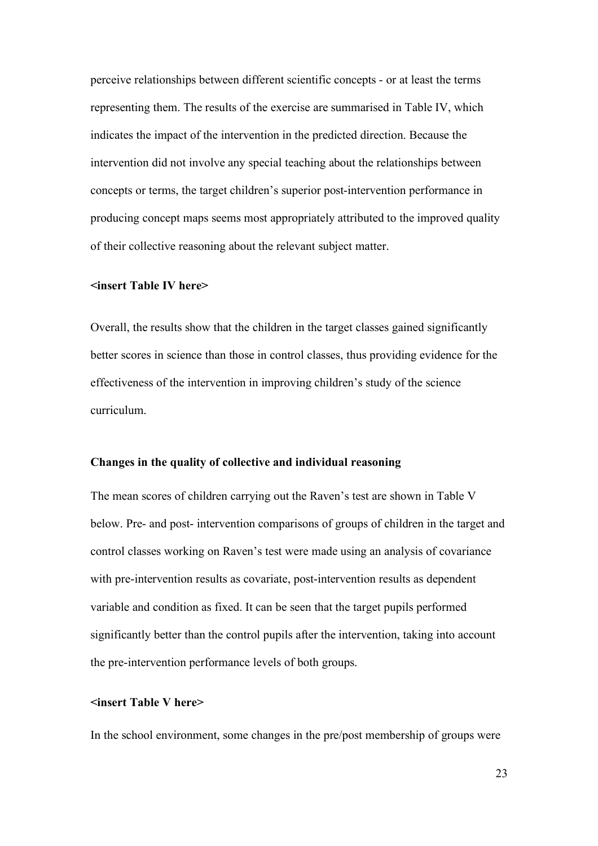perceive relationships between different scientific concepts - or at least the terms representing them. The results of the exercise are summarised in Table IV, which indicates the impact of the intervention in the predicted direction. Because the intervention did not involve any special teaching about the relationships between concepts or terms, the target children's superior post-intervention performance in producing concept maps seems most appropriately attributed to the improved quality of their collective reasoning about the relevant subject matter.

#### **<insert Table IV here>**

Overall, the results show that the children in the target classes gained significantly better scores in science than those in control classes, thus providing evidence for the effectiveness of the intervention in improving children's study of the science curriculum.

#### **Changes in the quality of collective and individual reasoning**

The mean scores of children carrying out the Raven's test are shown in Table V below. Pre- and post- intervention comparisons of groups of children in the target and control classes working on Raven's test were made using an analysis of covariance with pre-intervention results as covariate, post-intervention results as dependent variable and condition as fixed. It can be seen that the target pupils performed significantly better than the control pupils after the intervention, taking into account the pre-intervention performance levels of both groups.

## **<insert Table V here>**

In the school environment, some changes in the pre/post membership of groups were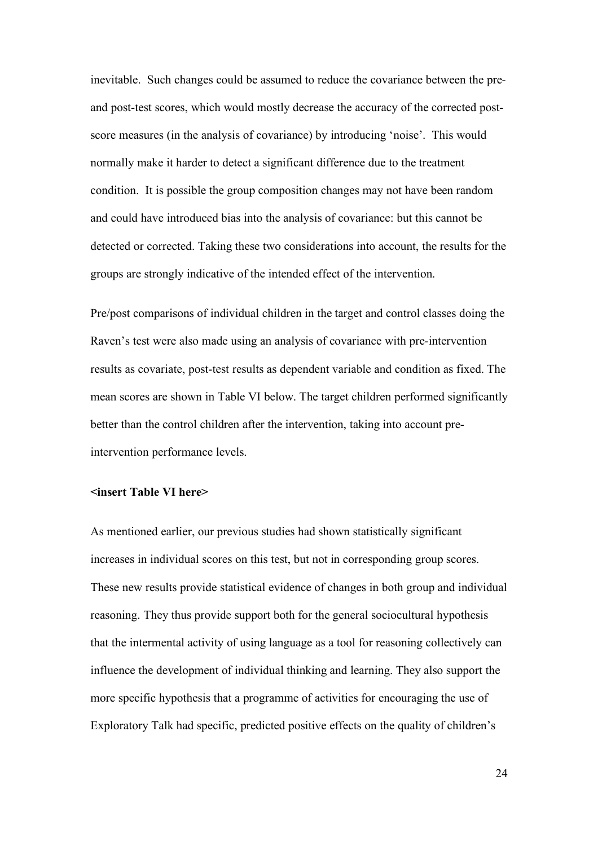inevitable. Such changes could be assumed to reduce the covariance between the preand post-test scores, which would mostly decrease the accuracy of the corrected postscore measures (in the analysis of covariance) by introducing 'noise'. This would normally make it harder to detect a significant difference due to the treatment condition. It is possible the group composition changes may not have been random and could have introduced bias into the analysis of covariance: but this cannot be detected or corrected. Taking these two considerations into account, the results for the groups are strongly indicative of the intended effect of the intervention.

Pre/post comparisons of individual children in the target and control classes doing the Raven's test were also made using an analysis of covariance with pre-intervention results as covariate, post-test results as dependent variable and condition as fixed. The mean scores are shown in Table VI below. The target children performed significantly better than the control children after the intervention, taking into account preintervention performance levels.

## **<insert Table VI here>**

As mentioned earlier, our previous studies had shown statistically significant increases in individual scores on this test, but not in corresponding group scores. These new results provide statistical evidence of changes in both group and individual reasoning. They thus provide support both for the general sociocultural hypothesis that the intermental activity of using language as a tool for reasoning collectively can influence the development of individual thinking and learning. They also support the more specific hypothesis that a programme of activities for encouraging the use of Exploratory Talk had specific, predicted positive effects on the quality of children's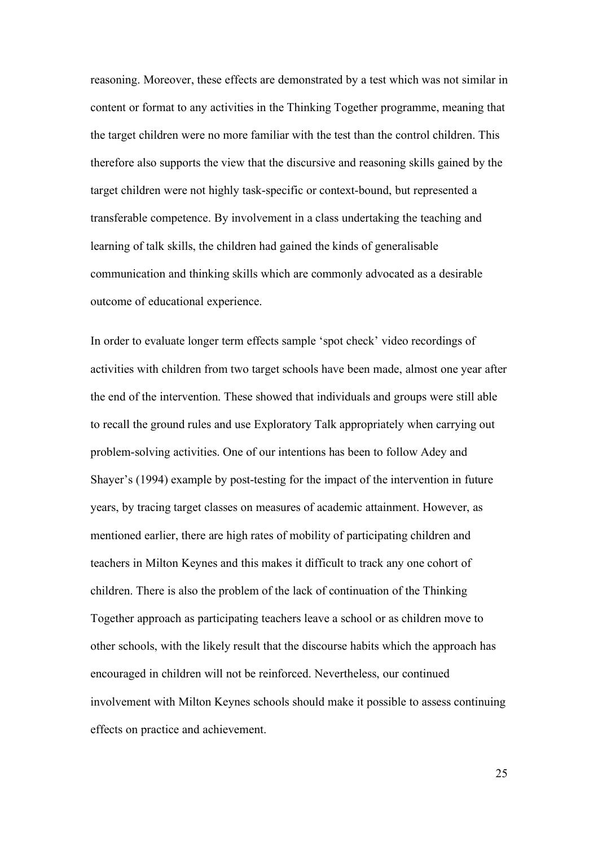reasoning. Moreover, these effects are demonstrated by a test which was not similar in content or format to any activities in the Thinking Together programme, meaning that the target children were no more familiar with the test than the control children. This therefore also supports the view that the discursive and reasoning skills gained by the target children were not highly task-specific or context-bound, but represented a transferable competence. By involvement in a class undertaking the teaching and learning of talk skills, the children had gained the kinds of generalisable communication and thinking skills which are commonly advocated as a desirable outcome of educational experience.

In order to evaluate longer term effects sample 'spot check' video recordings of activities with children from two target schools have been made, almost one year after the end of the intervention. These showed that individuals and groups were still able to recall the ground rules and use Exploratory Talk appropriately when carrying out problem-solving activities. One of our intentions has been to follow Adey and Shayer's (1994) example by post-testing for the impact of the intervention in future years, by tracing target classes on measures of academic attainment. However, as mentioned earlier, there are high rates of mobility of participating children and teachers in Milton Keynes and this makes it difficult to track any one cohort of children. There is also the problem of the lack of continuation of the Thinking Together approach as participating teachers leave a school or as children move to other schools, with the likely result that the discourse habits which the approach has encouraged in children will not be reinforced. Nevertheless, our continued involvement with Milton Keynes schools should make it possible to assess continuing effects on practice and achievement.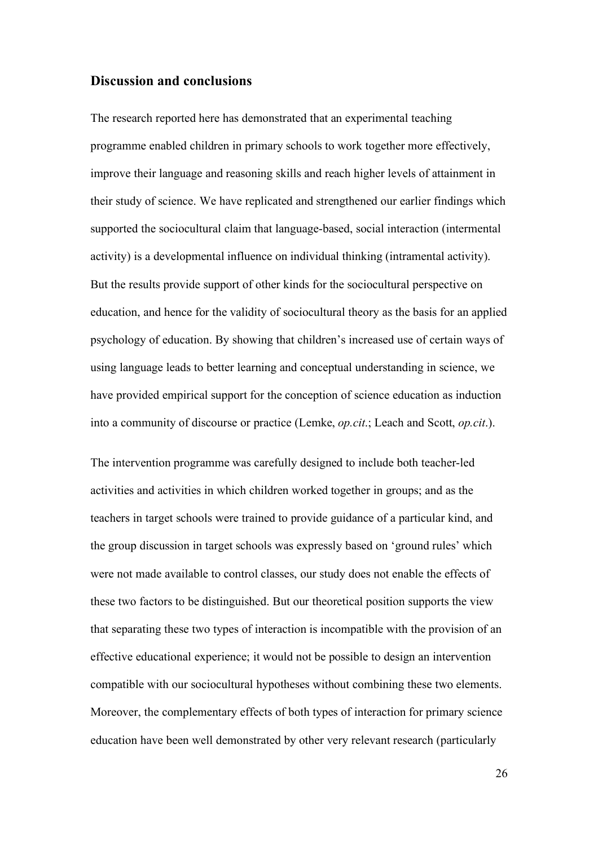## **Discussion and conclusions**

The research reported here has demonstrated that an experimental teaching programme enabled children in primary schools to work together more effectively, improve their language and reasoning skills and reach higher levels of attainment in their study of science. We have replicated and strengthened our earlier findings which supported the sociocultural claim that language-based, social interaction (intermental activity) is a developmental influence on individual thinking (intramental activity). But the results provide support of other kinds for the sociocultural perspective on education, and hence for the validity of sociocultural theory as the basis for an applied psychology of education. By showing that children's increased use of certain ways of using language leads to better learning and conceptual understanding in science, we have provided empirical support for the conception of science education as induction into a community of discourse or practice (Lemke, *op.cit*.; Leach and Scott, *op.cit*.).

The intervention programme was carefully designed to include both teacher-led activities and activities in which children worked together in groups; and as the teachers in target schools were trained to provide guidance of a particular kind, and the group discussion in target schools was expressly based on 'ground rules' which were not made available to control classes, our study does not enable the effects of these two factors to be distinguished. But our theoretical position supports the view that separating these two types of interaction is incompatible with the provision of an effective educational experience; it would not be possible to design an intervention compatible with our sociocultural hypotheses without combining these two elements. Moreover, the complementary effects of both types of interaction for primary science education have been well demonstrated by other very relevant research (particularly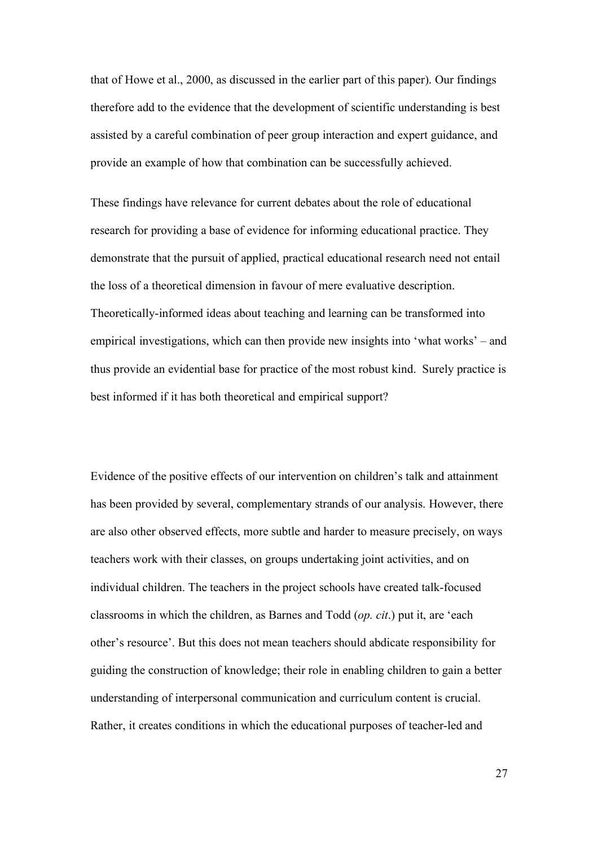that of Howe et al., 2000, as discussed in the earlier part of this paper). Our findings therefore add to the evidence that the development of scientific understanding is best assisted by a careful combination of peer group interaction and expert guidance, and provide an example of how that combination can be successfully achieved.

These findings have relevance for current debates about the role of educational research for providing a base of evidence for informing educational practice. They demonstrate that the pursuit of applied, practical educational research need not entail the loss of a theoretical dimension in favour of mere evaluative description. Theoretically-informed ideas about teaching and learning can be transformed into empirical investigations, which can then provide new insights into 'what works' – and thus provide an evidential base for practice of the most robust kind. Surely practice is best informed if it has both theoretical and empirical support?

Evidence of the positive effects of our intervention on children's talk and attainment has been provided by several, complementary strands of our analysis. However, there are also other observed effects, more subtle and harder to measure precisely, on ways teachers work with their classes, on groups undertaking joint activities, and on individual children. The teachers in the project schools have created talk-focused classrooms in which the children, as Barnes and Todd (*op. cit*.) put it, are 'each other's resource'. But this does not mean teachers should abdicate responsibility for guiding the construction of knowledge; their role in enabling children to gain a better understanding of interpersonal communication and curriculum content is crucial. Rather, it creates conditions in which the educational purposes of teacher-led and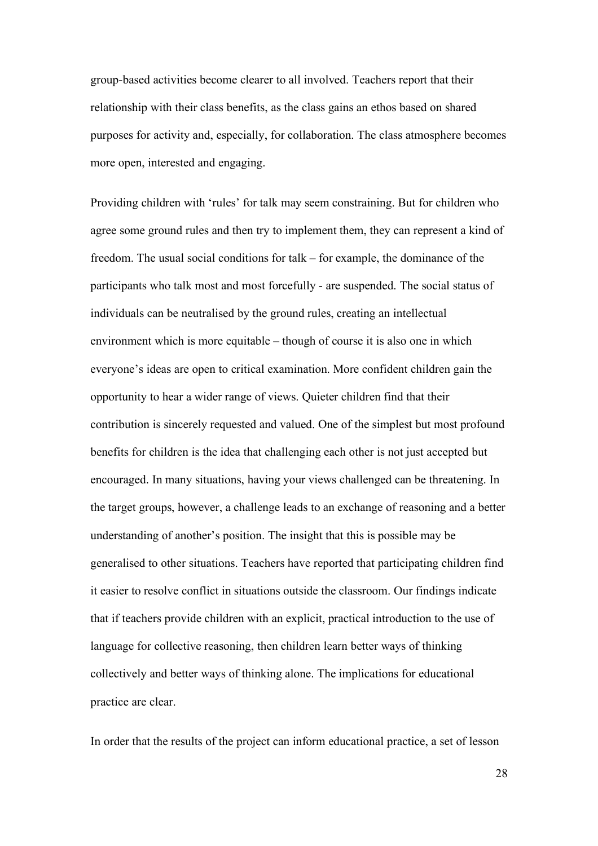group-based activities become clearer to all involved. Teachers report that their relationship with their class benefits, as the class gains an ethos based on shared purposes for activity and, especially, for collaboration. The class atmosphere becomes more open, interested and engaging.

Providing children with 'rules' for talk may seem constraining. But for children who agree some ground rules and then try to implement them, they can represent a kind of freedom. The usual social conditions for talk – for example, the dominance of the participants who talk most and most forcefully - are suspended. The social status of individuals can be neutralised by the ground rules, creating an intellectual environment which is more equitable – though of course it is also one in which everyone's ideas are open to critical examination. More confident children gain the opportunity to hear a wider range of views. Quieter children find that their contribution is sincerely requested and valued. One of the simplest but most profound benefits for children is the idea that challenging each other is not just accepted but encouraged. In many situations, having your views challenged can be threatening. In the target groups, however, a challenge leads to an exchange of reasoning and a better understanding of another's position. The insight that this is possible may be generalised to other situations. Teachers have reported that participating children find it easier to resolve conflict in situations outside the classroom. Our findings indicate that if teachers provide children with an explicit, practical introduction to the use of language for collective reasoning, then children learn better ways of thinking collectively and better ways of thinking alone. The implications for educational practice are clear.

In order that the results of the project can inform educational practice, a set of lesson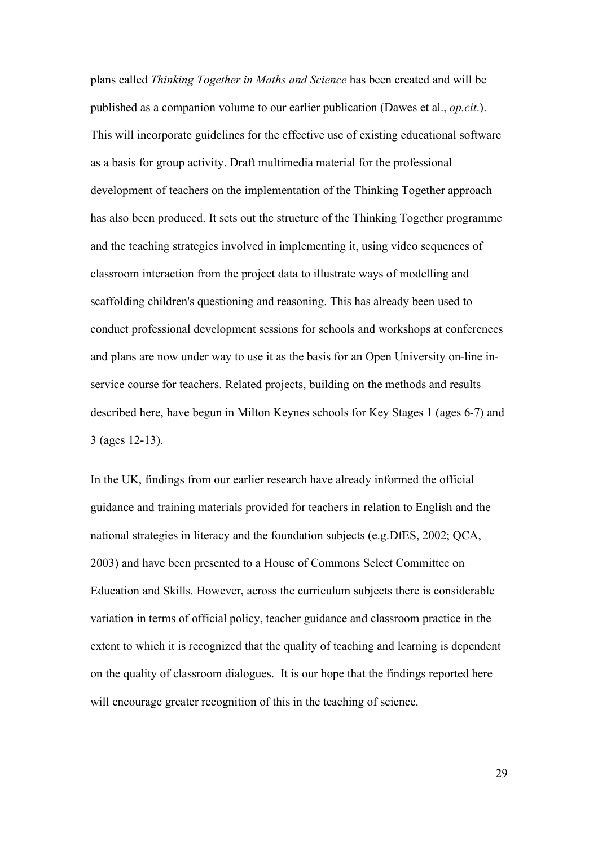plans called *Thinking Together in Maths and Science* has been created and will be published as a companion volume to our earlier publication (Dawes et al., *op.cit*.). This will incorporate guidelines for the effective use of existing educational software as a basis for group activity. Draft multimedia material for the professional development of teachers on the implementation of the Thinking Together approach has also been produced. It sets out the structure of the Thinking Together programme and the teaching strategies involved in implementing it, using video sequences of classroom interaction from the project data to illustrate ways of modelling and scaffolding children's questioning and reasoning. This has already been used to conduct professional development sessions for schools and workshops at conferences and plans are now under way to use it as the basis for an Open University on-line inservice course for teachers. Related projects, building on the methods and results described here, have begun in Milton Keynes schools for Key Stages 1 (ages 6-7) and 3 (ages 12-13).

In the UK, findings from our earlier research have already informed the official guidance and training materials provided for teachers in relation to English and the national strategies in literacy and the foundation subjects (e.g.DfES, 2002; QCA, 2003) and have been presented to a House of Commons Select Committee on Education and Skills. However, across the curriculum subjects there is considerable variation in terms of official policy, teacher guidance and classroom practice in the extent to which it is recognized that the quality of teaching and learning is dependent on the quality of classroom dialogues. It is our hope that the findings reported here will encourage greater recognition of this in the teaching of science.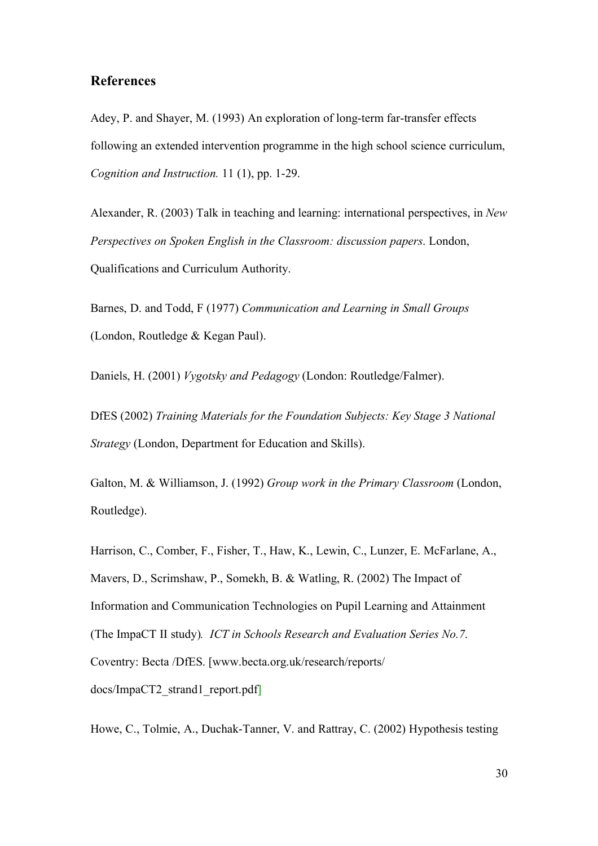## **References**

Adey, P. and Shayer, M. (1993) An exploration of long-term far-transfer effects following an extended intervention programme in the high school science curriculum, *Cognition and Instruction.* 11 (1), pp. 1-29.

Alexander, R. (2003) Talk in teaching and learning: international perspectives, in *New Perspectives on Spoken English in the Classroom: discussion papers*. London, Qualifications and Curriculum Authority.

Barnes, D. and Todd, F (1977) *Communication and Learning in Small Groups* (London, Routledge & Kegan Paul).

Daniels, H. (2001) *Vygotsky and Pedagogy* (London: Routledge/Falmer).

DfES (2002) *Training Materials for the Foundation Subjects: Key Stage 3 National Strategy* (London, Department for Education and Skills).

Galton, M. & Williamson, J. (1992) *Group work in the Primary Classroom* (London, Routledge).

Harrison, C., Comber, F., Fisher, T., Haw, K., Lewin, C., Lunzer, E. McFarlane, A., Mavers, D., Scrimshaw, P., Somekh, B. & Watling, R. (2002) The Impact of Information and Communication Technologies on Pupil Learning and Attainment (The ImpaCT II study)*. ICT in Schools Research and Evaluation Series No.7*. Coventry: Becta /DfES. [www.becta.org.uk/research/reports/ docs/ImpaCT2\_strand1\_report.pdf]

Howe, C., Tolmie, A., Duchak-Tanner, V. and Rattray, C. (2002) Hypothesis testing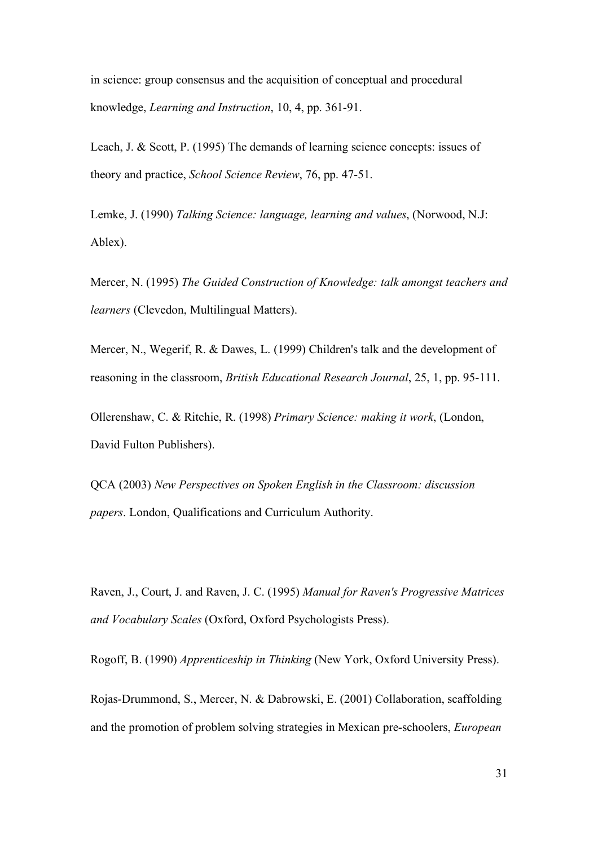in science: group consensus and the acquisition of conceptual and procedural knowledge, *Learning and Instruction*, 10, 4, pp. 361-91.

Leach, J. & Scott, P. (1995) The demands of learning science concepts: issues of theory and practice, *School Science Review*, 76, pp. 47-51.

Lemke, J. (1990) *Talking Science: language, learning and values*, (Norwood, N.J: Ablex).

Mercer, N. (1995) *The Guided Construction of Knowledge: talk amongst teachers and learners* (Clevedon, Multilingual Matters).

Mercer, N., Wegerif, R. & Dawes, L. (1999) Children's talk and the development of reasoning in the classroom, *British Educational Research Journal*, 25, 1, pp. 95-111.

Ollerenshaw, C. & Ritchie, R. (1998) *Primary Science: making it work*, (London, David Fulton Publishers).

QCA (2003) *New Perspectives on Spoken English in the Classroom: discussion papers*. London, Qualifications and Curriculum Authority.

Raven, J., Court, J. and Raven, J. C. (1995) *Manual for Raven's Progressive Matrices and Vocabulary Scales* (Oxford, Oxford Psychologists Press).

Rogoff, B. (1990) *Apprenticeship in Thinking* (New York, Oxford University Press).

Rojas-Drummond, S., Mercer, N. & Dabrowski, E. (2001) Collaboration, scaffolding and the promotion of problem solving strategies in Mexican pre-schoolers, *European*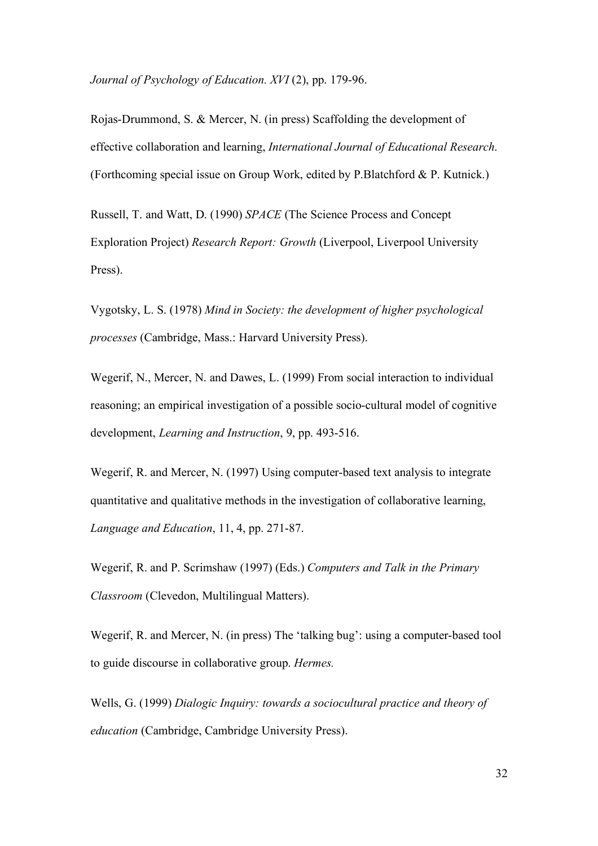*Journal of Psychology of Education. XVI* (2), pp. 179-96.

Rojas-Drummond, S. & Mercer, N. (in press) Scaffolding the development of effective collaboration and learning, *International Journal of Educational Research*. (Forthcoming special issue on Group Work, edited by P.Blatchford & P. Kutnick.)

Russell, T. and Watt, D. (1990) *SPACE* (The Science Process and Concept Exploration Project) *Research Report: Growth* (Liverpool, Liverpool University Press).

Vygotsky, L. S. (1978) *Mind in Society: the development of higher psychological processes* (Cambridge, Mass.: Harvard University Press).

Wegerif, N., Mercer, N. and Dawes, L. (1999) From social interaction to individual reasoning; an empirical investigation of a possible socio-cultural model of cognitive development, *Learning and Instruction*, 9, pp. 493-516.

Wegerif, R. and Mercer, N. (1997) Using computer-based text analysis to integrate quantitative and qualitative methods in the investigation of collaborative learning, *Language and Education*, 11, 4, pp. 271-87.

Wegerif, R. and P. Scrimshaw (1997) (Eds.) *Computers and Talk in the Primary Classroom* (Clevedon, Multilingual Matters).

Wegerif, R. and Mercer, N. (in press) The 'talking bug': using a computer-based tool to guide discourse in collaborative group. *Hermes.*

Wells, G. (1999) *Dialogic Inquiry: towards a sociocultural practice and theory of education* (Cambridge, Cambridge University Press).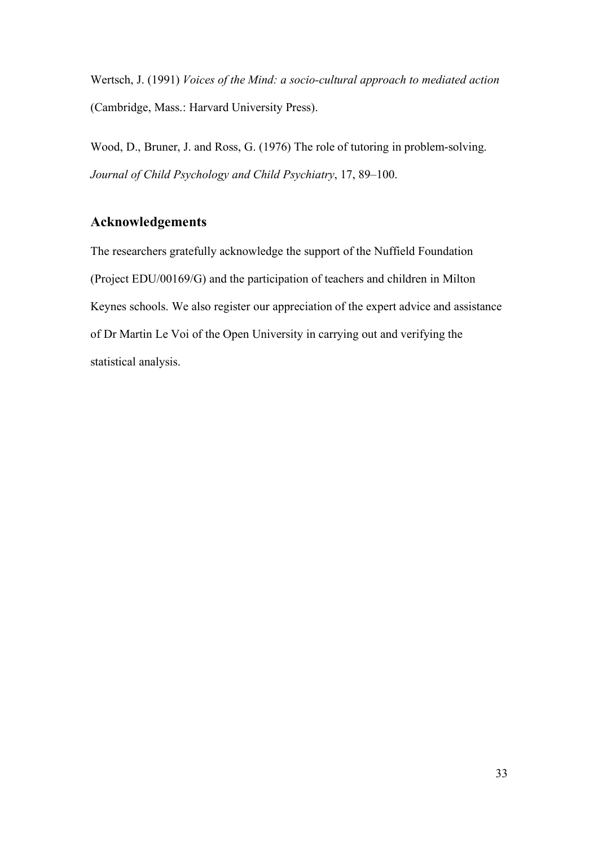Wertsch, J. (1991) *Voices of the Mind: a socio-cultural approach to mediated action*  (Cambridge, Mass.: Harvard University Press).

Wood, D., Bruner, J. and Ross, G. (1976) The role of tutoring in problem-solving. *Journal of Child Psychology and Child Psychiatry*, 17, 89–100.

## **Acknowledgements**

The researchers gratefully acknowledge the support of the Nuffield Foundation (Project EDU/00169/G) and the participation of teachers and children in Milton Keynes schools. We also register our appreciation of the expert advice and assistance of Dr Martin Le Voi of the Open University in carrying out and verifying the statistical analysis.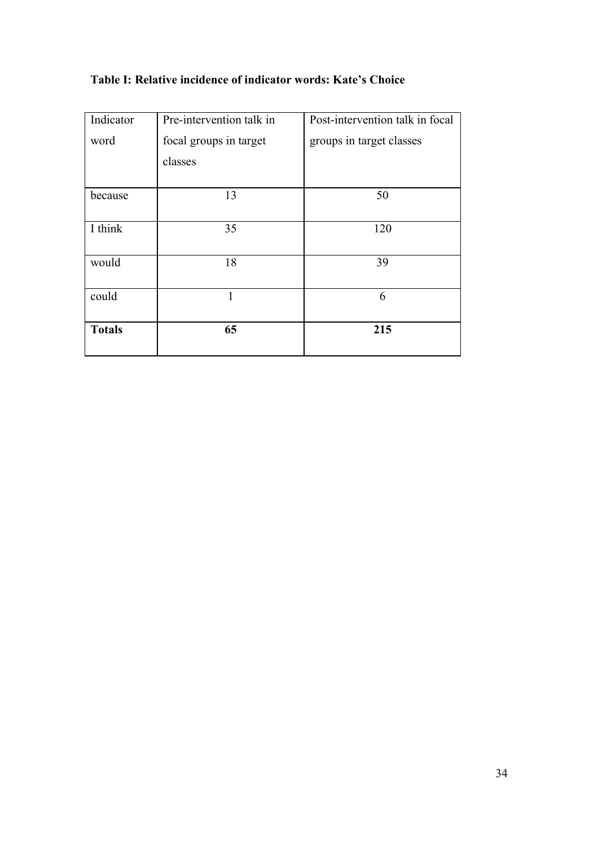| Indicator     | Pre-intervention talk in | Post-intervention talk in focal |
|---------------|--------------------------|---------------------------------|
| word          | focal groups in target   | groups in target classes        |
|               | classes                  |                                 |
|               |                          |                                 |
| because       | 13                       | 50                              |
| I think       | 35                       | 120                             |
| would         | 18                       | 39                              |
| could         | 1                        | 6                               |
| <b>Totals</b> | 65                       | 215                             |

## **Table I: Relative incidence of indicator words: Kate's Choice**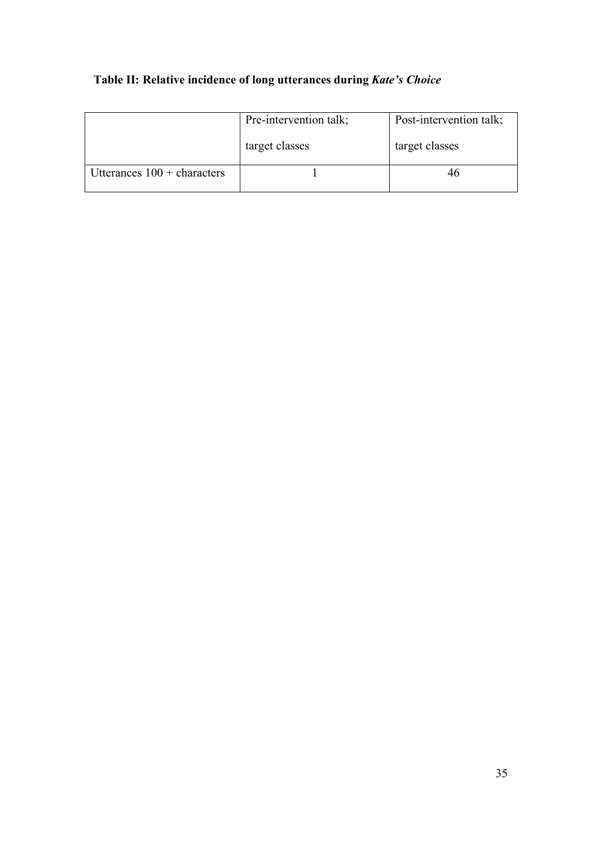# **Table II: Relative incidence of long utterances during** *Kate's Choice*

|                               | Pre-intervention talk; | Post-intervention talk; |
|-------------------------------|------------------------|-------------------------|
|                               | target classes         | target classes          |
| Utterances $100 +$ characters |                        |                         |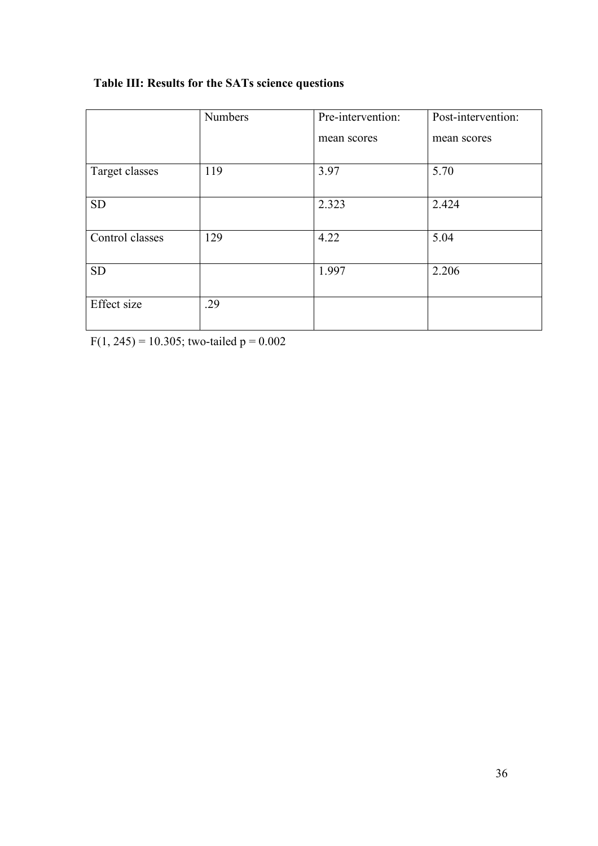## **Table III: Results for the SATs science questions**

|                 | <b>Numbers</b> | Pre-intervention: | Post-intervention: |
|-----------------|----------------|-------------------|--------------------|
|                 |                | mean scores       | mean scores        |
| Target classes  | 119            | 3.97              | 5.70               |
| <b>SD</b>       |                | 2.323             | 2.424              |
| Control classes | 129            | 4.22              | 5.04               |
| <b>SD</b>       |                | 1.997             | 2.206              |
| Effect size     | .29            |                   |                    |

 $F(1, 245) = 10.305$ ; two-tailed  $p = 0.002$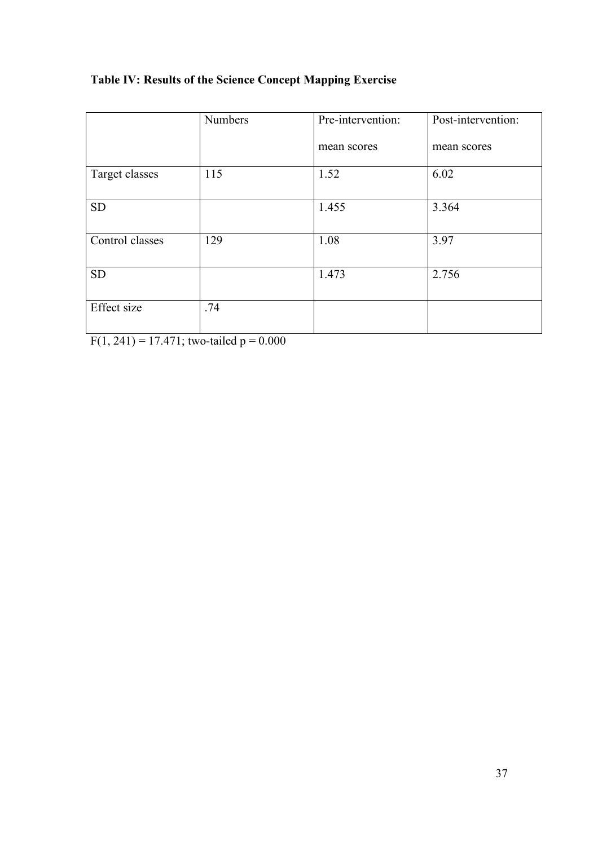# **Table IV: Results of the Science Concept Mapping Exercise**

|                 | <b>Numbers</b> | Pre-intervention: | Post-intervention: |
|-----------------|----------------|-------------------|--------------------|
|                 |                | mean scores       | mean scores        |
| Target classes  | 115            | 1.52              | 6.02               |
| <b>SD</b>       |                | 1.455             | 3.364              |
| Control classes | 129            | 1.08              | 3.97               |
| <b>SD</b>       |                | 1.473             | 2.756              |
| Effect size     | .74            |                   |                    |

 $F(1, 241) = 17.471$ ; two-tailed  $p = 0.000$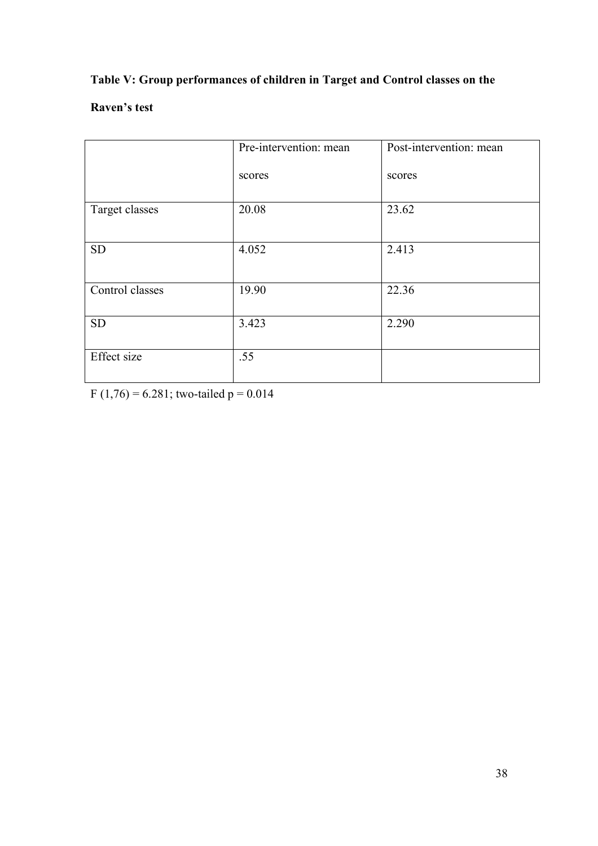# **Table V: Group performances of children in Target and Control classes on the**

## **Raven's test**

|                 | Pre-intervention: mean | Post-intervention: mean |
|-----------------|------------------------|-------------------------|
|                 | scores                 | scores                  |
| Target classes  | 20.08                  | 23.62                   |
|                 |                        |                         |
| <b>SD</b>       | 4.052                  | 2.413                   |
|                 |                        |                         |
| Control classes | 19.90                  | 22.36                   |
|                 |                        |                         |
| <b>SD</b>       | 3.423                  | 2.290                   |
|                 |                        |                         |
| Effect size     | .55                    |                         |
|                 |                        |                         |

F (1,76) = 6.281; two-tailed  $p = 0.014$